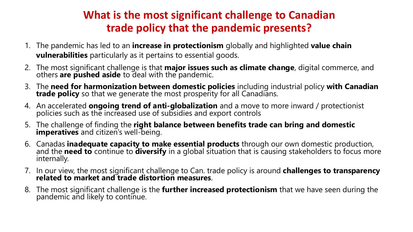## **What is the most significant challenge to Canadian trade policy that the pandemic presents?**

- 1. The pandemic has led to an **increase in protectionism** globally and highlighted **value chain vulnerabilities** particularly as it pertains to essential goods.
- 2. The most significant challenge is that **major issues such as climate change**, digital commerce, and others **are pushed aside** to deal with the pandemic.
- 3. The **need for harmonization between domestic policies** including industrial policy **with Canadian trade policy** so that we generate the most prosperity for all Canadians.
- 4. An accelerated **ongoing trend of anti-globalization** and a move to more inward / protectionist policies such as the increased use of subsidies and export controls
- 5. The challenge of finding the **right balance between benefits trade can bring and domestic imperatives** and citizen's well-being.
- 6. Canadas **inadequate capacity to make essential products** through our own domestic production,<br>and the **need to** continue to **diversify** in a global situation that is causing stakeholders to focus more<br>internally.
- 7. In our view, the most significant challenge to Can. trade policy is around **challenges to transparency related to market and trade distortion measures**.
- 8. The most significant challenge is the **further increased protectionism** that we have seen during the pandemic and likely to continue.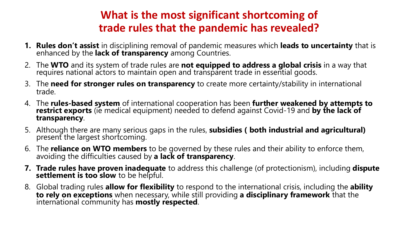## **What is the most significant shortcoming of trade rules that the pandemic has revealed?**

- **1. Rules don't assist** in disciplining removal of pandemic measures which **leads to uncertainty** that is enhanced by the **lack of transparency** among Countries.
- 2. The **WTO** and its system of trade rules are **not equipped to address a global crisis** in a way that requires national actors to maintain open and transparent trade in essential goods.
- 3. The **need for stronger rules on transparency** to create more certainty/stability in international trade.
- 4. The **rules-based system** of international cooperation has been **further weakened by attempts to restrict exports** (ie medical equipment) needed to defend against Covid-19 and **by the lack of transparency**.
- 5. Although there are many serious gaps in the rules, **subsidies ( both industrial and agricultural)** present the largest shortcoming.
- 6. The **reliance on WTO members** to be governed by these rules and their ability to enforce them, avoiding the difficulties caused by **a lack of transparency**.
- **7. Trade rules have proven inadequate** to address this challenge (of protectionism), including **dispute** settlement is too slow to be helpful.
- 8. Global trading rules **allow for flexibility** to respond to the international crisis, including the **ability to rely on exceptions** when necessary, while still providing **a disciplinary framework** that the international community has **mostly respected**.